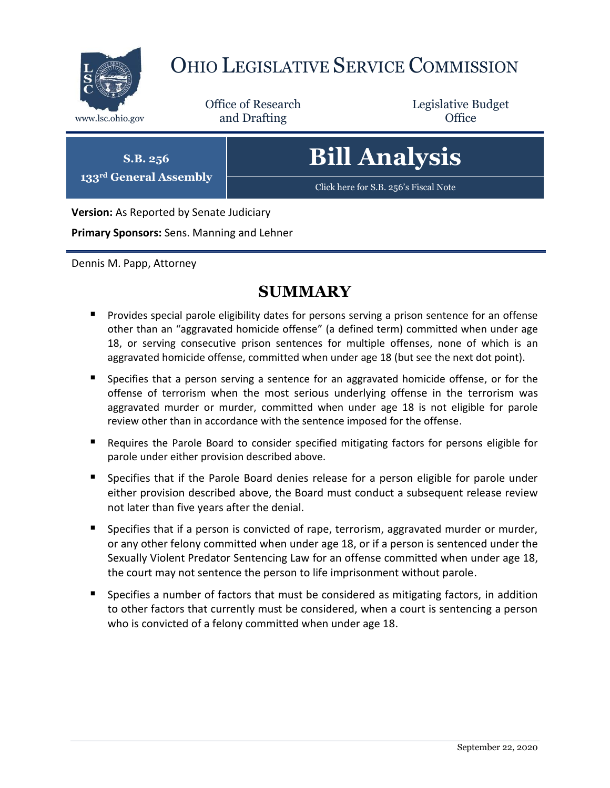

## OHIO LEGISLATIVE SERVICE COMMISSION

Office of Research www.lsc.ohio.gov **and Drafting Office** 

Legislative Budget

**S.B. 256 133rd General Assembly**

# **Bill Analysis**

[Click here for S.B. 256](https://www.legislature.ohio.gov/legislation/legislation-documents?id=GA133-SB-256)'s Fiscal Note

**Version:** As Reported by Senate Judiciary

**Primary Sponsors:** Sens. Manning and Lehner

Dennis M. Papp, Attorney

### **SUMMARY**

- **Provides special parole eligibility dates for persons serving a prison sentence for an offense** other than an "aggravated homicide offense" (a defined term) committed when under age 18, or serving consecutive prison sentences for multiple offenses, none of which is an aggravated homicide offense, committed when under age 18 (but see the next dot point).
- **Specifies that a person serving a sentence for an aggravated homicide offense, or for the** offense of terrorism when the most serious underlying offense in the terrorism was aggravated murder or murder, committed when under age 18 is not eligible for parole review other than in accordance with the sentence imposed for the offense.
- Requires the Parole Board to consider specified mitigating factors for persons eligible for parole under either provision described above.
- Specifies that if the Parole Board denies release for a person eligible for parole under either provision described above, the Board must conduct a subsequent release review not later than five years after the denial.
- **Specifies that if a person is convicted of rape, terrorism, aggravated murder or murder,** or any other felony committed when under age 18, or if a person is sentenced under the Sexually Violent Predator Sentencing Law for an offense committed when under age 18, the court may not sentence the person to life imprisonment without parole.
- **Specifies a number of factors that must be considered as mitigating factors, in addition** to other factors that currently must be considered, when a court is sentencing a person who is convicted of a felony committed when under age 18.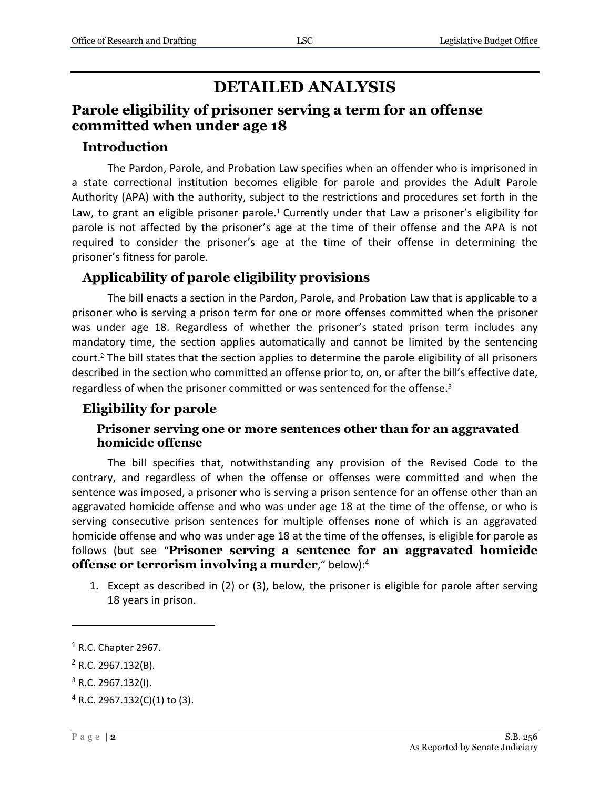## **DETAILED ANALYSIS**

#### **Parole eligibility of prisoner serving a term for an offense committed when under age 18**

#### **Introduction**

The Pardon, Parole, and Probation Law specifies when an offender who is imprisoned in a state correctional institution becomes eligible for parole and provides the Adult Parole Authority (APA) with the authority, subject to the restrictions and procedures set forth in the Law, to grant an eligible prisoner parole.<sup>1</sup> Currently under that Law a prisoner's eligibility for parole is not affected by the prisoner's age at the time of their offense and the APA is not required to consider the prisoner's age at the time of their offense in determining the prisoner's fitness for parole.

#### **Applicability of parole eligibility provisions**

The bill enacts a section in the Pardon, Parole, and Probation Law that is applicable to a prisoner who is serving a prison term for one or more offenses committed when the prisoner was under age 18. Regardless of whether the prisoner's stated prison term includes any mandatory time, the section applies automatically and cannot be limited by the sentencing court.<sup>2</sup> The bill states that the section applies to determine the parole eligibility of all prisoners described in the section who committed an offense prior to, on, or after the bill's effective date, regardless of when the prisoner committed or was sentenced for the offense.<sup>3</sup>

#### **Eligibility for parole**

#### **Prisoner serving one or more sentences other than for an aggravated homicide offense**

The bill specifies that, notwithstanding any provision of the Revised Code to the contrary, and regardless of when the offense or offenses were committed and when the sentence was imposed, a prisoner who is serving a prison sentence for an offense other than an aggravated homicide offense and who was under age 18 at the time of the offense, or who is serving consecutive prison sentences for multiple offenses none of which is an aggravated homicide offense and who was under age 18 at the time of the offenses, is eligible for parole as follows (but see "**Prisoner serving a sentence for an aggravated homicide offense or terrorism involving a murder**," below): 4

1. Except as described in (2) or (3), below, the prisoner is eligible for parole after serving 18 years in prison.

 $<sup>1</sup>$  R.C. Chapter 2967.</sup>

 $2$  R.C. 2967.132(B).

 $3$  R.C. 2967.132(I).

 $4$  R.C. 2967.132(C)(1) to (3).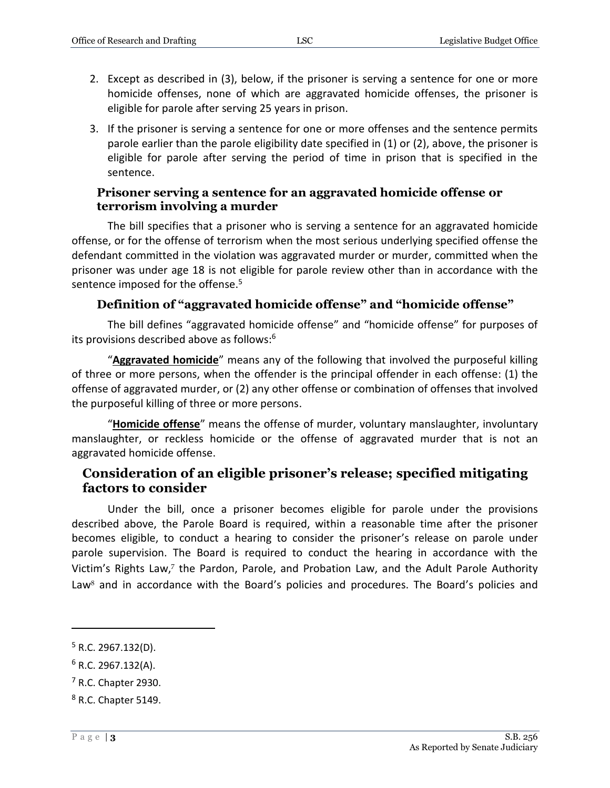- 2. Except as described in (3), below, if the prisoner is serving a sentence for one or more homicide offenses, none of which are aggravated homicide offenses, the prisoner is eligible for parole after serving 25 years in prison.
- 3. If the prisoner is serving a sentence for one or more offenses and the sentence permits parole earlier than the parole eligibility date specified in (1) or (2), above, the prisoner is eligible for parole after serving the period of time in prison that is specified in the sentence.

#### **Prisoner serving a sentence for an aggravated homicide offense or terrorism involving a murder**

The bill specifies that a prisoner who is serving a sentence for an aggravated homicide offense, or for the offense of terrorism when the most serious underlying specified offense the defendant committed in the violation was aggravated murder or murder, committed when the prisoner was under age 18 is not eligible for parole review other than in accordance with the sentence imposed for the offense.<sup>5</sup>

#### **Definition of "aggravated homicide offense" and "homicide offense"**

The bill defines "aggravated homicide offense" and "homicide offense" for purposes of its provisions described above as follows:<sup>6</sup>

"**Aggravated homicide**" means any of the following that involved the purposeful killing of three or more persons, when the offender is the principal offender in each offense: (1) the offense of aggravated murder, or (2) any other offense or combination of offenses that involved the purposeful killing of three or more persons.

"**Homicide offense**" means the offense of murder, voluntary manslaughter, involuntary manslaughter, or reckless homicide or the offense of aggravated murder that is not an aggravated homicide offense.

#### **Consideration of an eligible prisoner's release; specified mitigating factors to consider**

Under the bill, once a prisoner becomes eligible for parole under the provisions described above, the Parole Board is required, within a reasonable time after the prisoner becomes eligible, to conduct a hearing to consider the prisoner's release on parole under parole supervision. The Board is required to conduct the hearing in accordance with the Victim's Rights Law,<sup>7</sup> the Pardon, Parole, and Probation Law, and the Adult Parole Authority Law $8$  and in accordance with the Board's policies and procedures. The Board's policies and

 $5$  R.C. 2967.132(D).

 $6$  R.C. 2967.132(A).

 $<sup>7</sup>$  R.C. Chapter 2930.</sup>

<sup>8</sup> R.C. Chapter 5149.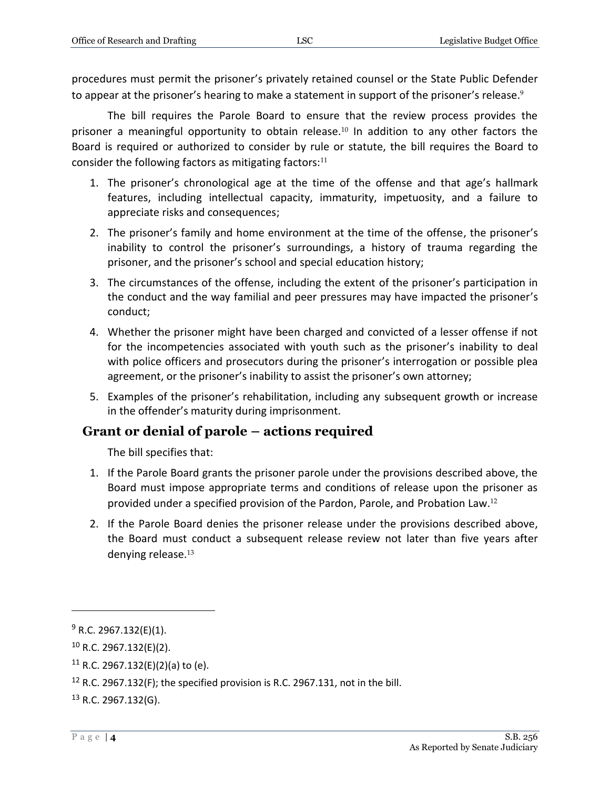procedures must permit the prisoner's privately retained counsel or the State Public Defender to appear at the prisoner's hearing to make a statement in support of the prisoner's release.<sup>9</sup>

The bill requires the Parole Board to ensure that the review process provides the prisoner a meaningful opportunity to obtain release.<sup>10</sup> In addition to any other factors the Board is required or authorized to consider by rule or statute, the bill requires the Board to consider the following factors as mitigating factors: $11$ 

- 1. The prisoner's chronological age at the time of the offense and that age's hallmark features, including intellectual capacity, immaturity, impetuosity, and a failure to appreciate risks and consequences;
- 2. The prisoner's family and home environment at the time of the offense, the prisoner's inability to control the prisoner's surroundings, a history of trauma regarding the prisoner, and the prisoner's school and special education history;
- 3. The circumstances of the offense, including the extent of the prisoner's participation in the conduct and the way familial and peer pressures may have impacted the prisoner's conduct;
- 4. Whether the prisoner might have been charged and convicted of a lesser offense if not for the incompetencies associated with youth such as the prisoner's inability to deal with police officers and prosecutors during the prisoner's interrogation or possible plea agreement, or the prisoner's inability to assist the prisoner's own attorney;
- 5. Examples of the prisoner's rehabilitation, including any subsequent growth or increase in the offender's maturity during imprisonment.

#### **Grant or denial of parole – actions required**

The bill specifies that:

- 1. If the Parole Board grants the prisoner parole under the provisions described above, the Board must impose appropriate terms and conditions of release upon the prisoner as provided under a specified provision of the Pardon, Parole, and Probation Law.<sup>12</sup>
- 2. If the Parole Board denies the prisoner release under the provisions described above, the Board must conduct a subsequent release review not later than five years after denying release. $13$

 $9$  R.C. 2967.132(E)(1).

 $10$  R.C. 2967.132(E)(2).

 $11$  R.C. 2967.132(E)(2)(a) to (e).

<sup>&</sup>lt;sup>12</sup> R.C. 2967.132(F); the specified provision is R.C. 2967.131, not in the bill.

 $13$  R.C. 2967.132(G).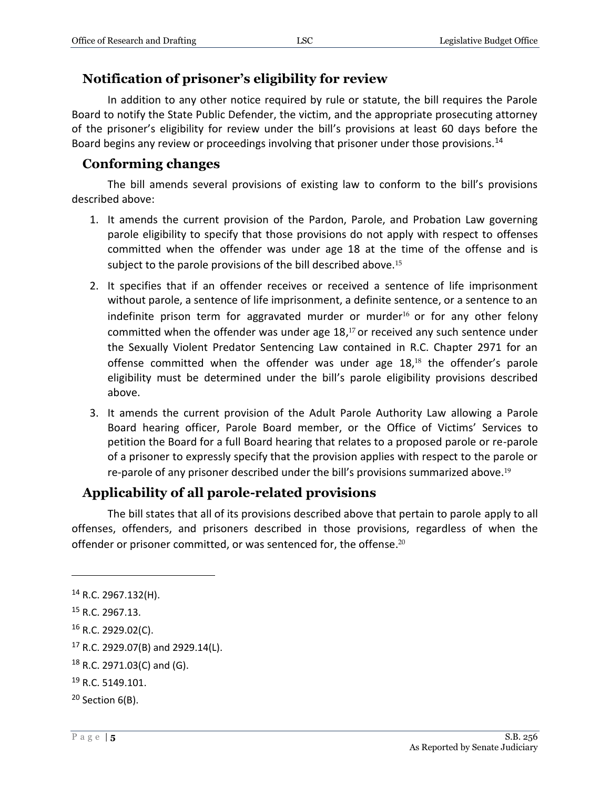#### **Notification of prisoner's eligibility for review**

In addition to any other notice required by rule or statute, the bill requires the Parole Board to notify the State Public Defender, the victim, and the appropriate prosecuting attorney of the prisoner's eligibility for review under the bill's provisions at least 60 days before the Board begins any review or proceedings involving that prisoner under those provisions.<sup>14</sup>

#### **Conforming changes**

The bill amends several provisions of existing law to conform to the bill's provisions described above:

- 1. It amends the current provision of the Pardon, Parole, and Probation Law governing parole eligibility to specify that those provisions do not apply with respect to offenses committed when the offender was under age 18 at the time of the offense and is subject to the parole provisions of the bill described above.<sup>15</sup>
- 2. It specifies that if an offender receives or received a sentence of life imprisonment without parole, a sentence of life imprisonment, a definite sentence, or a sentence to an indefinite prison term for aggravated murder or murder<sup>16</sup> or for any other felony committed when the offender was under age 18, <sup>17</sup> or received any such sentence under the Sexually Violent Predator Sentencing Law contained in R.C. Chapter 2971 for an offense committed when the offender was under age  $18,18$  the offender's parole eligibility must be determined under the bill's parole eligibility provisions described above.
- 3. It amends the current provision of the Adult Parole Authority Law allowing a Parole Board hearing officer, Parole Board member, or the Office of Victims' Services to petition the Board for a full Board hearing that relates to a proposed parole or re-parole of a prisoner to expressly specify that the provision applies with respect to the parole or re-parole of any prisoner described under the bill's provisions summarized above.<sup>19</sup>

#### **Applicability of all parole-related provisions**

The bill states that all of its provisions described above that pertain to parole apply to all offenses, offenders, and prisoners described in those provisions, regardless of when the offender or prisoner committed, or was sentenced for, the offense. $^{20}$ 

<sup>14</sup> R.C. 2967.132(H).

<sup>15</sup> R.C. 2967.13.

<sup>16</sup> R.C. 2929.02(C).

<sup>17</sup> R.C. 2929.07(B) and 2929.14(L).

 $18$  R.C. 2971.03(C) and (G).

<sup>&</sup>lt;sup>19</sup> R.C. 5149.101.

 $20$  Section 6(B).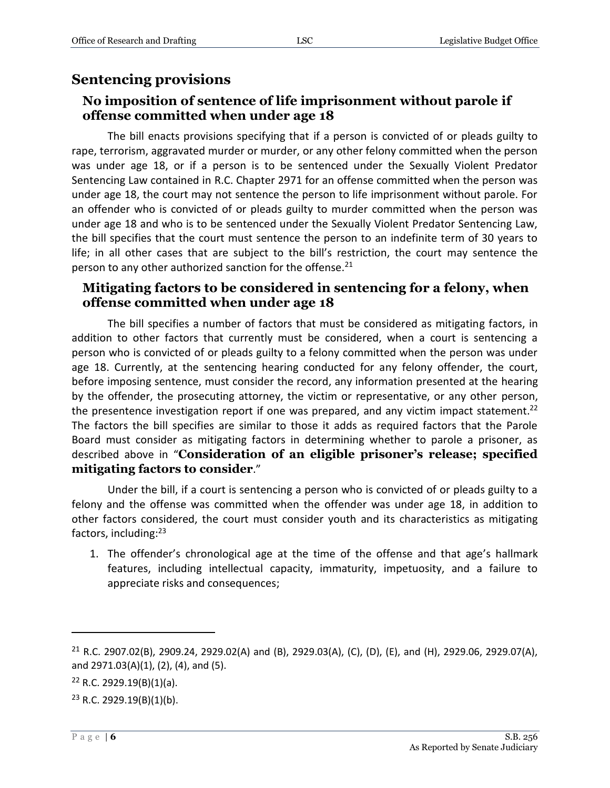#### **Sentencing provisions**

#### **No imposition of sentence of life imprisonment without parole if offense committed when under age 18**

The bill enacts provisions specifying that if a person is convicted of or pleads guilty to rape, terrorism, aggravated murder or murder, or any other felony committed when the person was under age 18, or if a person is to be sentenced under the Sexually Violent Predator Sentencing Law contained in R.C. Chapter 2971 for an offense committed when the person was under age 18, the court may not sentence the person to life imprisonment without parole. For an offender who is convicted of or pleads guilty to murder committed when the person was under age 18 and who is to be sentenced under the Sexually Violent Predator Sentencing Law, the bill specifies that the court must sentence the person to an indefinite term of 30 years to life; in all other cases that are subject to the bill's restriction, the court may sentence the person to any other authorized sanction for the offense.<sup>21</sup>

#### **Mitigating factors to be considered in sentencing for a felony, when offense committed when under age 18**

The bill specifies a number of factors that must be considered as mitigating factors, in addition to other factors that currently must be considered, when a court is sentencing a person who is convicted of or pleads guilty to a felony committed when the person was under age 18. Currently, at the sentencing hearing conducted for any felony offender, the court, before imposing sentence, must consider the record, any information presented at the hearing by the offender, the prosecuting attorney, the victim or representative, or any other person, the presentence investigation report if one was prepared, and any victim impact statement.<sup>22</sup> The factors the bill specifies are similar to those it adds as required factors that the Parole Board must consider as mitigating factors in determining whether to parole a prisoner, as described above in "**Consideration of an eligible prisoner's release; specified mitigating factors to consider**."

Under the bill, if a court is sentencing a person who is convicted of or pleads guilty to a felony and the offense was committed when the offender was under age 18, in addition to other factors considered, the court must consider youth and its characteristics as mitigating factors, including:<sup>23</sup>

1. The offender's chronological age at the time of the offense and that age's hallmark features, including intellectual capacity, immaturity, impetuosity, and a failure to appreciate risks and consequences;

<sup>&</sup>lt;sup>21</sup> R.C. 2907.02(B), 2909.24, 2929.02(A) and (B), 2929.03(A), (C), (D), (E), and (H), 2929.06, 2929.07(A), and 2971.03(A)(1), (2), (4), and (5).

 $22$  R.C. 2929.19(B)(1)(a).

 $23$  R.C. 2929.19(B)(1)(b).